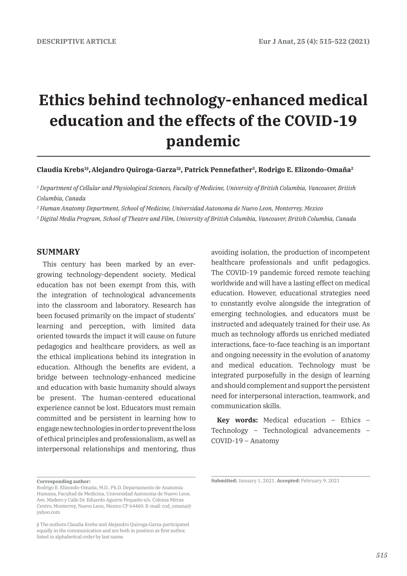# **Ethics behind technology-enhanced medical education and the effects of the COVID-19 pandemic**

#### **Claudia Krebs1<sup>β</sup> ,Alejandro Quiroga-Garza2<sup>β</sup> , Patrick Pennefather3, Rodrigo E. Elizondo-Omaña2**

*1 Department of Cellular and Physiological Sciences, Faculty of Medicine, University of British Columbia, Vancouver, British Columbia, Canada* 

*2 Human Anatomy Department, School of Medicine, Universidad Autonoma de Nuevo Leon, Monterrey, Mexico*

*3 Digital Media Program, School of Theatre and Film, University of British Columbia, Vancouver, British Columbia, Canada* 

## **SUMMARY**

This century has been marked by an evergrowing technology-dependent society. Medical education has not been exempt from this, with the integration of technological advancements into the classroom and laboratory. Research has been focused primarily on the impact of students' learning and perception, with limited data oriented towards the impact it will cause on future pedagogics and healthcare providers, as well as the ethical implications behind its integration in education. Although the benefits are evident, a bridge between technology-enhanced medicine and education with basic humanity should always be present. The human-centered educational experience cannot be lost. Educators must remain committed and be persistent in learning how to engage new technologies in order to prevent the loss of ethical principles and professionalism, as well as interpersonal relationships and mentoring, thus

avoiding isolation, the production of incompetent healthcare professionals and unfit pedagogics. The COVID-19 pandemic forced remote teaching worldwide and will have a lasting effect on medical education. However, educational strategies need to constantly evolve alongside the integration of emerging technologies, and educators must be instructed and adequately trained for their use. As much as technology affords us enriched mediated interactions, face-to-face teaching is an important and ongoing necessity in the evolution of anatomy and medical education. Technology must be integrated purposefully in the design of learning and should complement and support the persistent need for interpersonal interaction, teamwork, and communication skills.

**Key words:** Medical education – Ethics – Technology – Technological advancements – COVID-19 – Anatomy

**Corresponding author:** 

Rodrigo E. Elizondo-Omaña, M.D., Ph.D. Departamento de Anatomía Humana, Facultad de Medicina, Universidad Autonoma de Nuevo Leon. Ave. Madero y Calle Dr. Eduardo Aguirre Pequeño s/n. Colonia Mitras Centro, Monterrey, Nuevo Leon, Mexico CP 64460. E-mail: rod\_omana@ yahoo.com

β The authors Claudia Krebs and Alejandro Quiroga‐Garza participated equally in the communication and are both in position as first author, listed in alphabetical order by last name.

**Submitted:** January 1, 2021. **Accepted:** February 9, 2021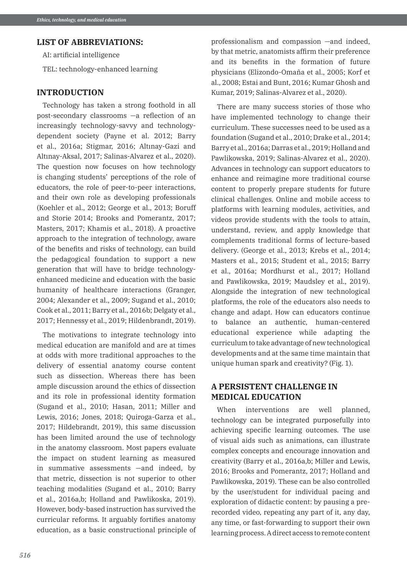## **LIST OF ABBREVIATIONS:**

AI: artificial intelligence

TEL: technology-enhanced learning

## **INTRODUCTION**

Technology has taken a strong foothold in all post-secondary classrooms —a reflection of an increasingly technology-savvy and technologydependent society (Payne et al. 2012; Barry et al., 2016a; Stigmar, 2016; Altınay-Gazi and Altınay-Aksal, 2017; Salinas-Alvarez et al., 2020). The question now focuses on how technology is changing students' perceptions of the role of educators, the role of peer-to-peer interactions, and their own role as developing professionals (Koehler et al., 2012; George et al., 2013; Boruff and Storie 2014; Brooks and Pomerantz, 2017; Masters, 2017; Khamis et al., 2018). A proactive approach to the integration of technology, aware of the benefits and risks of technology, can build the pedagogical foundation to support a new generation that will have to bridge technologyenhanced medicine and education with the basic humanity of healthcare interactions (Granger, 2004; Alexander et al., 2009; Sugand et al., 2010; Cook et al., 2011; Barry et al., 2016b; Delgaty et al., 2017; Hennessy et al., 2019; Hildenbrandt, 2019).

The motivations to integrate technology into medical education are manifold and are at times at odds with more traditional approaches to the delivery of essential anatomy course content such as dissection. Whereas there has been ample discussion around the ethics of dissection and its role in professional identity formation (Sugand et al., 2010; Hasan, 2011; Miller and Lewis, 2016; Jones, 2018; Quiroga-Garza et al., 2017; Hildebrandt, 2019), this same discussion has been limited around the use of technology in the anatomy classroom. Most papers evaluate the impact on student learning as measured in summative assessments —and indeed, by that metric, dissection is not superior to other teaching modalities (Sugand et al., 2010; Barry et al., 2016a,b; Holland and Pawlikoska, 2019). However, body-based instruction has survived the curricular reforms. It arguably fortifies anatomy education, as a basic constructional principle of

professionalism and compassion —and indeed, by that metric, anatomists affirm their preference and its benefits in the formation of future physicians (Elizondo-Omaña et al., 2005; Korf et al., 2008; Estai and Bunt, 2016; Kumar Ghosh and Kumar, 2019; Salinas-Alvarez et al., 2020).

There are many success stories of those who have implemented technology to change their curriculum. These successes need to be used as a foundation (Sugand et al., 2010; Drake et al., 2014; Barry et al., 2016a; Darras et al., 2019; Holland and Pawlikowska, 2019; Salinas-Alvarez et al., 2020). Advances in technology can support educators to enhance and reimagine more traditional course content to properly prepare students for future clinical challenges. Online and mobile access to platforms with learning modules, activities, and videos provide students with the tools to attain, understand, review, and apply knowledge that complements traditional forms of lecture-based delivery. (George et al., 2013; Krebs et al., 2014; Masters et al., 2015; Student et al., 2015; Barry et al., 2016a; Mordhurst et al., 2017; Holland and Pawlikowska, 2019; Maudsley et al., 2019). Alongside the integration of new technological platforms, the role of the educators also needs to change and adapt. How can educators continue to balance an authentic, human-centered educational experience while adapting the curriculum to take advantage of new technological developments and at the same time maintain that unique human spark and creativity? (Fig. 1).

# **A PERSISTENT CHALLENGE IN MEDICAL EDUCATION**

When interventions are well planned, technology can be integrated purposefully into achieving specific learning outcomes. The use of visual aids such as animations, can illustrate complex concepts and encourage innovation and creativity (Barry et al., 2016a,b; Miller and Lewis, 2016; Brooks and Pomerantz, 2017; Holland and Pawlikowska, 2019). These can be also controlled by the user/student for individual pacing and exploration of didactic content: by pausing a prerecorded video, repeating any part of it, any day, any time, or fast-forwarding to support their own learning process. A direct access to remote content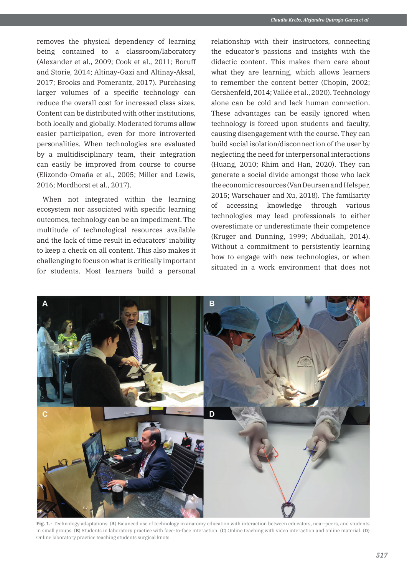removes the physical dependency of learning being contained to a classroom/laboratory (Alexander et al., 2009; Cook et al., 2011; Boruff and Storie, 2014; Altinay-Gazi and Altinay-Aksal, 2017; Brooks and Pomerantz, 2017). Purchasing larger volumes of a specific technology can reduce the overall cost for increased class sizes. Content can be distributed with other institutions, both locally and globally. Moderated forums allow easier participation, even for more introverted personalities. When technologies are evaluated by a multidisciplinary team, their integration can easily be improved from course to course (Elizondo-Omaña et al., 2005; Miller and Lewis, 2016; Mordhorst et al., 2017).

When not integrated within the learning ecosystem nor associated with specific learning outcomes, technology can be an impediment. The multitude of technological resources available and the lack of time result in educators' inability to keep a check on all content. This also makes it challenging to focus on what is critically important for students. Most learners build a personal relationship with their instructors, connecting the educator's passions and insights with the didactic content. This makes them care about what they are learning, which allows learners to remember the content better (Chopin, 2002; Gershenfeld, 2014; Vallée et al., 2020). Technology alone can be cold and lack human connection. These advantages can be easily ignored when technology is forced upon students and faculty, causing disengagement with the course. They can build social isolation/disconnection of the user by neglecting the need for interpersonal interactions (Huang, 2010; Rhim and Han, 2020). They can generate a social divide amongst those who lack the economic resources (Van Deursen and Helsper, 2015; Warschauer and Xu, 2018). The familiarity of accessing knowledge through various technologies may lead professionals to either overestimate or underestimate their competence (Kruger and Dunning, 1999; Abduallah, 2014). Without a commitment to persistently learning how to engage with new technologies, or when situated in a work environment that does not



**Fig. 1.-** Technology adaptations. (**A**) Balanced use of technology in anatomy education with interaction between educators, near-peers, and students in small groups. (**B**) Students in laboratory practice with face-to-face interaction. (**C**) Online teaching with video interaction and online material. (**D**) Online laboratory practice teaching students surgical knots.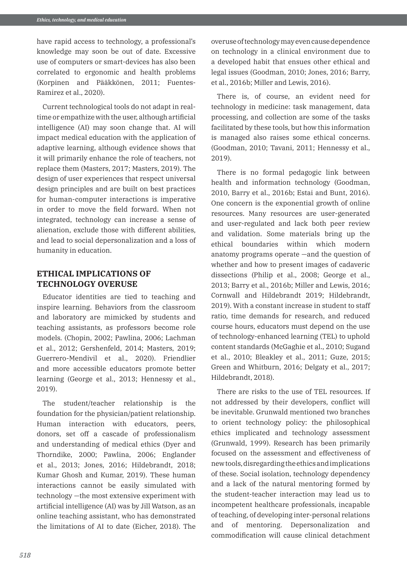have rapid access to technology, a professional's knowledge may soon be out of date. Excessive use of computers or smart-devices has also been correlated to ergonomic and health problems (Korpinen and Pääkkönen, 2011; Fuentes-Ramirez et al., 2020).

Current technological tools do not adapt in realtime or empathize with the user, although artificial intelligence (AI) may soon change that. AI will impact medical education with the application of adaptive learning, although evidence shows that it will primarily enhance the role of teachers, not replace them (Masters, 2017; Masters, 2019). The design of user experiences that respect universal design principles and are built on best practices for human-computer interactions is imperative in order to move the field forward. When not integrated, technology can increase a sense of alienation, exclude those with different abilities, and lead to social depersonalization and a loss of humanity in education.

# **ETHICAL IMPLICATIONS OF TECHNOLOGY OVERUSE**

Educator identities are tied to teaching and inspire learning. Behaviors from the classroom and laboratory are mimicked by students and teaching assistants, as professors become role models. (Chopin, 2002; Pawlina, 2006; Lachman et al., 2012; Gershenfeld, 2014; Masters, 2019; Guerrero-Mendivil et al., 2020). Friendlier and more accessible educators promote better learning (George et al., 2013; Hennessy et al., 2019).

The student/teacher relationship is the foundation for the physician/patient relationship. Human interaction with educators, peers, donors, set off a cascade of professionalism and understanding of medical ethics (Dyer and Thorndike, 2000; Pawlina, 2006; Englander et al., 2013; Jones, 2016; Hildebrandt, 2018; Kumar Ghosh and Kumar, 2019). These human interactions cannot be easily simulated with technology —the most extensive experiment with artificial intelligence (AI) was by Jill Watson, as an online teaching assistant, who has demonstrated the limitations of AI to date (Eicher, 2018). The

overuse of technology may even cause dependence on technology in a clinical environment due to a developed habit that ensues other ethical and legal issues (Goodman, 2010; Jones, 2016; Barry, et al., 2016b; Miller and Lewis, 2016).

There is, of course, an evident need for technology in medicine: task management, data processing, and collection are some of the tasks facilitated by these tools, but how this information is managed also raises some ethical concerns. (Goodman, 2010; Tavani, 2011; Hennessy et al., 2019).

There is no formal pedagogic link between health and information technology (Goodman, 2010, Barry et al., 2016b; Estai and Bunt, 2016). One concern is the exponential growth of online resources. Many resources are user-generated and user-regulated and lack both peer review and validation. Some materials bring up the ethical boundaries within which modern anatomy programs operate —and the question of whether and how to present images of cadaveric dissections (Philip et al., 2008; George et al., 2013; Barry et al., 2016b; Miller and Lewis, 2016; Cornwall and Hildebrandt 2019; Hildebrandt, 2019). With a constant increase in student to staff ratio, time demands for research, and reduced course hours, educators must depend on the use of technology-enhanced learning (TEL) to uphold content standards (McGaghie et al., 2010; Sugand et al., 2010; Bleakley et al., 2011; Guze, 2015; Green and Whitburn, 2016; Delgaty et al., 2017; Hildebrandt, 2018).

There are risks to the use of TEL resources. If not addressed by their developers, conflict will be inevitable. Grunwald mentioned two branches to orient technology policy: the philosophical ethics implicated and technology assessment (Grunwald, 1999). Research has been primarily focused on the assessment and effectiveness of new tools, disregarding the ethics and implications of these. Social isolation, technology dependency and a lack of the natural mentoring formed by the student-teacher interaction may lead us to incompetent healthcare professionals, incapable of teaching, of developing inter-personal relations and of mentoring. Depersonalization and commodification will cause clinical detachment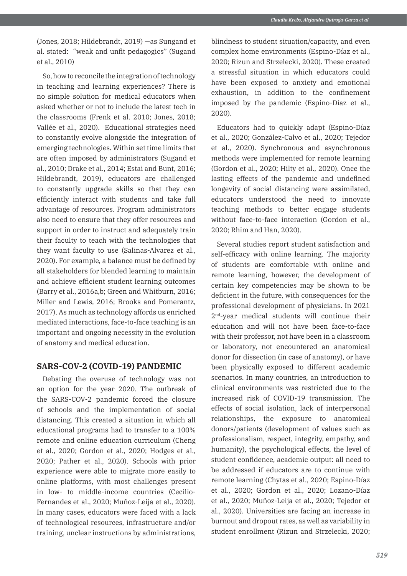(Jones, 2018; Hildebrandt, 2019) —as Sungand et al. stated: "weak and unfit pedagogics" (Sugand et al., 2010)

So, how to reconcile the integration of technology in teaching and learning experiences? There is no simple solution for medical educators when asked whether or not to include the latest tech in the classrooms (Frenk et al. 2010; Jones, 2018; Vallée et al., 2020). Educational strategies need to constantly evolve alongside the integration of emerging technologies. Within set time limits that are often imposed by administrators (Sugand et al., 2010; Drake et al., 2014; Estai and Bunt, 2016; Hildebrandt, 2019), educators are challenged to constantly upgrade skills so that they can efficiently interact with students and take full advantage of resources. Program administrators also need to ensure that they offer resources and support in order to instruct and adequately train their faculty to teach with the technologies that they want faculty to use (Salinas-Alvarez et al., 2020). For example, a balance must be defined by all stakeholders for blended learning to maintain and achieve efficient student learning outcomes (Barry et al., 2016a,b; Green and Whitburn, 2016; Miller and Lewis, 2016; Brooks and Pomerantz, 2017). As much as technology affords us enriched mediated interactions, face-to-face teaching is an important and ongoing necessity in the evolution of anatomy and medical education.

## **SARS-COV-2 (COVID-19) PANDEMIC**

Debating the overuse of technology was not an option for the year 2020. The outbreak of the SARS-COV-2 pandemic forced the closure of schools and the implementation of social distancing. This created a situation in which all educational programs had to transfer to a 100% remote and online education curriculum (Cheng et al., 2020; Gordon et al., 2020; Hodges et al., 2020; Pather et al., 2020). Schools with prior experience were able to migrate more easily to online platforms, with most challenges present in low- to middle-income countries (Cecilio-Fernandes et al., 2020; Muñoz-Leija et al., 2020). In many cases, educators were faced with a lack of technological resources, infrastructure and/or training, unclear instructions by administrations,

blindness to student situation/capacity, and even complex home environments (Espino-Díaz et al., 2020; Rizun and Strzelecki, 2020). These created a stressful situation in which educators could have been exposed to anxiety and emotional exhaustion, in addition to the confinement imposed by the pandemic (Espino-Díaz et al., 2020).

Educators had to quickly adapt (Espino-Díaz et al., 2020; González-Calvo et al., 2020; Tejedor et al., 2020). Synchronous and asynchronous methods were implemented for remote learning (Gordon et al., 2020; Hilty et al., 2020). Once the lasting effects of the pandemic and undefined longevity of social distancing were assimilated, educators understood the need to innovate teaching methods to better engage students without face-to-face interaction (Gordon et al., 2020; Rhim and Han, 2020).

Several studies report student satisfaction and self-efficacy with online learning. The majority of students are comfortable with online and remote learning, however, the development of certain key competencies may be shown to be deficient in the future, with consequences for the professional development of physicians. In 2021 2nd-year medical students will continue their education and will not have been face-to-face with their professor, not have been in a classroom or laboratory, not encountered an anatomical donor for dissection (in case of anatomy), or have been physically exposed to different academic scenarios. In many countries, an introduction to clinical environments was restricted due to the increased risk of COVID-19 transmission. The effects of social isolation, lack of interpersonal relationships, the exposure to anatomical donors/patients (development of values such as professionalism, respect, integrity, empathy, and humanity), the psychological effects, the level of student confidence, academic output: all need to be addressed if educators are to continue with remote learning (Chytas et al., 2020; Espino-Díaz et al., 2020; Gordon et al., 2020; Lozano-Díaz et al., 2020; Muñoz-Leija et al., 2020; Tejedor et al., 2020). Universities are facing an increase in burnout and dropout rates, as well as variability in student enrollment (Rizun and Strzelecki, 2020;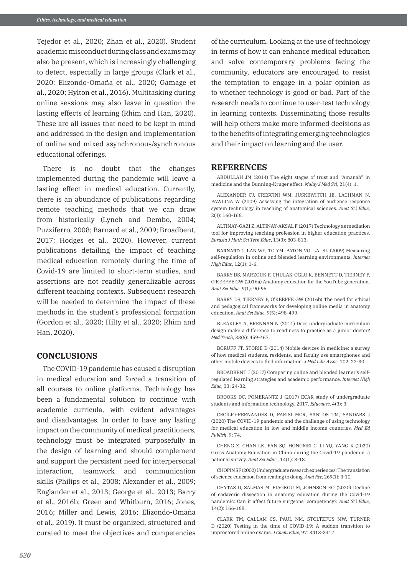Tejedor et al., 2020; Zhan et al., 2020). Student academic misconduct during class and exams may also be present, which is increasingly challenging to detect, especially in large groups (Clark et al., 2020; Elizondo-Omaña et al., 2020; Gamage et al., 2020; Hylton et al., 2016). Multitasking during online sessions may also leave in question the lasting effects of learning (Rhim and Han, 2020). These are all issues that need to be kept in mind and addressed in the design and implementation of online and mixed asynchronous/synchronous educational offerings.

There is no doubt that the changes implemented during the pandemic will leave a lasting effect in medical education. Currently, there is an abundance of publications regarding remote teaching methods that we can draw from historically (Lynch and Dembo, 2004; Puzziferro, 2008; Barnard et al., 2009; Broadbent, 2017; Hodges et al., 2020). However, current publications detailing the impact of teaching medical education remotely during the time of Covid-19 are limited to short-term studies, and assertions are not readily generalizable across different teaching contexts. Subsequent research will be needed to determine the impact of these methods in the student's professional formation (Gordon et al., 2020; Hilty et al., 2020; Rhim and Han, 2020).

## **CONCLUSIONS**

The COVID-19 pandemic has caused a disruption in medical education and forced a transition of all courses to online platforms. Technology has been a fundamental solution to continue with academic curricula, with evident advantages and disadvantages. In order to have any lasting impact on the community of medical practitioners, technology must be integrated purposefully in the design of learning and should complement and support the persistent need for interpersonal interaction, teamwork and communication skills (Philips et al., 2008; Alexander et al., 2009; Englander et al., 2013; George et al., 2013; Barry et al., 2016b; Green and Whitburn, 2016; Jones, 2016; Miller and Lewis, 2016; Elizondo-Omaña et al., 2019). It must be organized, structured and curated to meet the objectives and competencies of the curriculum. Looking at the use of technology in terms of how it can enhance medical education and solve contemporary problems facing the community, educators are encouraged to resist the temptation to engage in a polar opinion as to whether technology is good or bad. Part of the research needs to continue to user-test technology in learning contexts. Disseminating those results will help others make more informed decisions as to the benefits of integrating emerging technologies and their impact on learning and the user.

#### **REFERENCES**

ABDULLAH JM (2014) The eight stages of trust and "Amanah" in medicine and the Dunning-Kruger effect. *Malay J Med Sci*, 21(4): 1.

ALEXANDER CJ, CRESCINI WM, JUSKEWITCH JE, LACHMAN N, PAWLINA W (2009) Assessing the integration of audience response system technology in teaching of anatomical sciences. *Anat Sci Educ*, 2(4): 160-166.

ALTINAY-GAZI Z, ALTINAY-AKSAL F (2017) Technology as mediation tool for improving teaching profession in higher education practices. *Eurasia J Math Sci Tech Educ*, 13(3): 803-813.

BARNARD L, LAN WY, TO YM, PATON VO, LAI SL (2009) Measuring self-regulation in online and blended learning environments. *Internet High Educ*, 12(1): 1-6.

BARRY DS, MARZOUK F, CHULAK-OGLU K, BENNETT D, TIERNEY P O'KEEFFE GW (2016a) Anatomy education for the YouTube generation. *Anat Sci Educ*, 9(1): 90-96.

BARRY DS, TIERNEY P, O'KEEFFE GW (2016b) The need for ethical and pedagogical frameworks for developing online media in anatomy education. *Anat Sci Educ*, 9(5): 498-499.

BLEAKLEY A, BRENNAN N (2011) Does undergraduate curriculum design make a difference to readiness to practice as a junior doctor? *Med Teach*, 33(6): 459-467.

BORUFF JT, STORIE D (2014) Mobile devices in medicine: a survey of how medical students, residents, and faculty use smartphones and other mobile devices to find information. *J Med Libr Assoc*, 102: 22-30.

BROADBENT J (2017) Comparing online and blended learner's selfregulated learning strategies and academic performance. *Internet High Educ*, 33: 24-32.

BROOKS DC, POMERANTZ J (2017) ECAR study of undergraduate students and information technology, 2017. *Educause*, 4(3): 3.

CECILIO-FERNANDES D, PARISI MCR, SANTOS TM, SANDARS J (2020) The COVID-19 pandemic and the challenge of using technology for medical education in low and middle income countries. *Med Ed Publish*, 9: 74.

CHENG X, CHAN LK, PAN SQ, HONGMEI C, LI YQ, YANG X (2020) Gross Anatomy Education in China during the Covid-19 pandemic: a national survey. *Anat Sci Educ*,. 14(1): 8-18.

CHOPIN SF (2002) Undergraduate research experiences: The translation of science education from reading to doing. *Anat Rec*, 269(1): 3-10.

CHYTAS D, SALMAS M, PIAGKOU M, JOHNSON EO (2020) Decline of cadaveric dissection in anatomy education during the Covid-19 pandemic: Can it affect future surgeons' competency?. *Anat Sci Educ*, 14(2): 166-168.

CLARK TM, CALLAM CS, PAUL NM, STOLTZFUS MW, TURNER D (2020) Testing in the time of COVID-19: A sudden transition to unproctored online exams. *J Chem Educ*, 97: 3413-3417.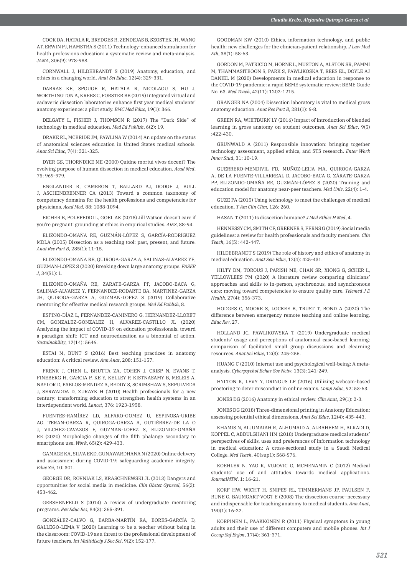COOK DA, HATALA R, BRYDGES R, ZENDEJAS B, SZOSTEK JH, WANG AT, ERWIN PJ, HAMSTRA S (2011) Technology-enhanced simulation for health professions education: a systematic review and meta-analysis. *JAMA*, 306(9): 978-988.

CORNWALL J, HILDEBRANDT S (2019) Anatomy, education, and ethics in a changing world. *Anat Sci Educ*, 12(4): 329-331.

DARRAS KE, SPOUGE R, HATALA R, NICOLAOU S, HU J, WORTHINGTON A, KREBS C, FORSTER BB (2019) Integrated virtual and cadaveric dissection laboratories enhance first year medical students' anatomy experience: a pilot study. *BMC Med Educ*, 19(1): 366.

DELGATY L, FISHER J, THOMSON R (2017) The "Dark Side" of technology in medical education. *Med Ed Publish*, 6(2): 19.

DRAKE RL, MCBRIDE JM, PAWLINA W (2014) An update on the status of anatomical sciences education in United States medical schools. *Anat Sci Educ*, 7(4): 321-325.

DYER GS, THORNDIKE ME (2000) Quidne mortui vivos docent? The evolving purpose of human dissection in medical education. *Acad Med*, 75: 969-979.

ENGLANDER R, CAMERON T, BALLARD AJ, DODGE J, BULL J, ASCHENBRENNER CA (2013) Toward a common taxonomy of competency domains for the health professions and competencies for physicians. *Acad Med*, 88: 1088-1094.

EICHER B, POLEPEDDI L, GOEL AK (2018) Jill Watson doesn't care if you're pregnant: grounding at ethics in empirical studies. *AIES*, 88-94.

ELIZONDO-OMAÑA RE, GUZMÁN‐LÓPEZ S, GARCÍA-RODRÍGUEZ MDLA (2005) Dissection as a teaching tool: past, present, and future. *Anat Rec Part B*, 285(1): 11-15.

ELIZONDO-OMAÑA RE, QUIROGA-GARZA A, SALINAS-ALVAREZ YE, GUZMAN-LOPEZ S (2020) Breaking down large anatomy groups. *FASEB J*, 34(S1): 1.

ELIZONDO-OMAÑA RE, ZARATE-GARZA PP, JACOBO-BACA G, SALINAS-ALVAREZ Y, FERNANDEZ-RODARTE BA, MARTINEZ-GARZA JH, QUIROGA-GARZA A, GUZMAN-LOPEZ S (2019) Collaborative mentoring for effective medical research groups. *Med Ed Publish*, 8.

ESPINO-DÍAZ L, FERNANDEZ-CAMINERO G, HERNANDEZ-LLORET CM, GONZALEZ-GONZALEZ H, ALVAREZ-CASTILLO JL (2020) Analyzing the impact of COVID-19 on education professionals. toward a paradigm shift: ICT and neuroeducation as a binomial of action. *Sustainability*, 12(14): 5646.

ESTAI M, BUNT S (2016) Best teaching practices in anatomy education: A critical review. *Ann Anat*, 208: 151-157.

FRENK J, CHEN L, BHUTTA ZA, COHEN J, CRISP N, EVANS T, FINEBERG H, GARCIA P, KE Y, KELLEY P, KISTNASAMY B, MELEIS A, NAYLOR D, PABLOS-MENDEZ A, REDDY S, SCRIMSHAW S, SEPULVEDA J, SERWADDA D, ZURAYK H (2010) Health professionals for a new century: transforming education to strengthen health systems in an interdependent world. *Lancet*, 376: 1923-1958.

FUENTES-RAMÍREZ LD, ALFARO-GOMEZ U, ESPINOSA-URIBE AG, TERAN-GARZA R, QUIROGA-GARZA A, GUTIÉRREZ-DE LA O J, VILCHEZ-CAVAZOS F, GUZMAN-LOPEZ S, ELIZONDO-OMAÑA RE (2020) Morphologic changes of the fifth phalange secondary to smartphone use. *Work*, 65(2): 429-433.

GAMAGE KA, SILVA EKD, GUNAWARDHANA N (2020) Online delivery and assessment during COVID-19: safeguarding academic integrity. *Educ Sci*, 10: 301.

GEORGE DR, ROVNIAK LS, KRASCHNEWSKI JL (2013) Dangers and opportunities for social media in medicine. *Clin Obstet Gynecol*, 56(3): 453-462.

GERSHENFELD S (2014) A review of undergraduate mentoring programs. *Rev Educ Res*, 84(3): 365-391.

GONZÁLEZ-CALVO G, BARBA-MARTÍN RA, BORES-GARCÍA D, GALLEGO-LEMA V (2020) Learning to be a teacher without being in the classroom: COVID-19 as a threat to the professional development of future teachers. *Int Multidiscip J Soc Sci*, 9(2): 152-177.

GOODMAN KW (2010) Ethics, information technology, and public health: new challenges for the clinician‐patient relationship. *J Law Med Eth*, 38(1): 58-63.

GORDON M, PATRICIO M, HORNE L, MUSTON A, ALSTON SR, PAMMI M, THAMMASITBOON S, PARK S, PAWLIKOSKA T, REES EL, DOYLE AJ DANIEL M (2020) Developments in medical education in response to the COVID-19 pandemic: a rapid BEME systematic review: BEME Guide No. 63. *Med Teach*, 42(11): 1202-1215.

GRANGER NA (2004) Dissection laboratory is vital to medical gross anatomy education. *Anat Rec Part B*, 281(1): 6-8.

GREEN RA, WHITBURN LY (2016) Impact of introduction of blended learning in gross anatomy on student outcomes. *Anat Sci Educ*, 9(5) :422-430.

GRUNWALD A (2011) Responsible innovation: bringing together technology assessment, applied ethics, and STS research. *Enter Work Innov Stud*, 31: 10-19.

GUERRERO-MENDIVIL FD, MUÑOZ-LEIJA MA, QUIROGA-GARZA A, DE LA FUENTE-VILLARREAL D, JACOBO-BACA G, ZÁRATE-GARZA PP, ELIZONDO-OMAÑA RE, GUZMÁN-LÓPEZ S (2020) Training and education model for anatomy near-peer teachers. *Med Univ*, 22(4): 1-4.

GUZE PA (2015) Using technology to meet the challenges of medical education. *T Am Clin Clim*, 126: 260.

HASAN T (2011) Is dissection humane? *J Med Ethics H Med*, 4.

HENNESSY CM, SMITH CF, GREENER S, FERNS G (2019) Social media guidelines: a review for health professionals and faculty members. *Clin Teach*, 16(5): 442-447.

HILDEBRANDT S (2019) The role of history and ethics of anatomy in medical education. *Anat Scie Educ*, 12(4): 425-431.

HILTY DM, TOROUS J, PARISH MB, CHAN SR, XIONG G, SCHER L, YELLOWLEES PM (2020) A literature review comparing clinicians' approaches and skills to in-person, synchronous, and asynchronous care: moving toward competencies to ensure quality care. *Telemed J E Health*, 27(4): 356-373.

HODGES C, MOORE S, LOCKEE B, TRUST T, BOND A (2020) The difference between emergency remote teaching and online learning. *Educ Rev*, 27.

HOLLAND JC, PAWLIKOWSKA T (2019) Undergraduate medical students' usage and perceptions of anatomical case‐based learning: comparison of facilitated small group discussions and elearning resources. *Anat Sci Educ*, 12(3): 245-256.

HUANG C (2010) Internet use and psychological well-being: A metaanalysis. *Cyberpsychol Behav Soc Netw*, 13(3): 241-249.

HYLTON K, LEVY Y, DRINGUS LP (2016) Utilizing webcam-based proctoring to deter misconduct in online exams. *Comp Educ*, 92: 53-63.

JONES DG (2016) Anatomy in ethical review. *Clin Anat*, 29(1): 2-3.

JONES DG (2018) Three‐dimensional printing in Anatomy Education: assessing potential ethical dimensions. *Anat Sci Educ*, 12(4): 435-443.

KHAMIS N, ALJUMAIAH R, ALHUMAID A, ALRAHEEM H, ALKADI D, KOPPEL C, ABDULGHANI HM (2018) Undergraduate medical students' perspectives of skills, uses and preferences of information technology in medical education: A cross-sectional study in a Saudi Medical College. *Med Teach*, 40(sup1): S68-S76.

KOEHLER N, YAO K, VUJOVIC O, MCMENAMIN C (2012) Medical students' use of and attitudes towards medical applications. *JournalMTM*, 1: 16-21.

KORF HW, WICHT H, SNIPES RL, TIMMERMANS JP, PAULSEN F, RUNE G, BAUMGART-VOGT E (2008) The dissection course–necessary and indispensable for teaching anatomy to medical students. *Ann Anat*, 190(1): 16-22.

KORPINEN L, PÄÄKKÖNEN R (2011) Physical symptoms in young adults and their use of different computers and mobile phones. *Int J Occup Saf Ergon*, 17(4): 361-371.